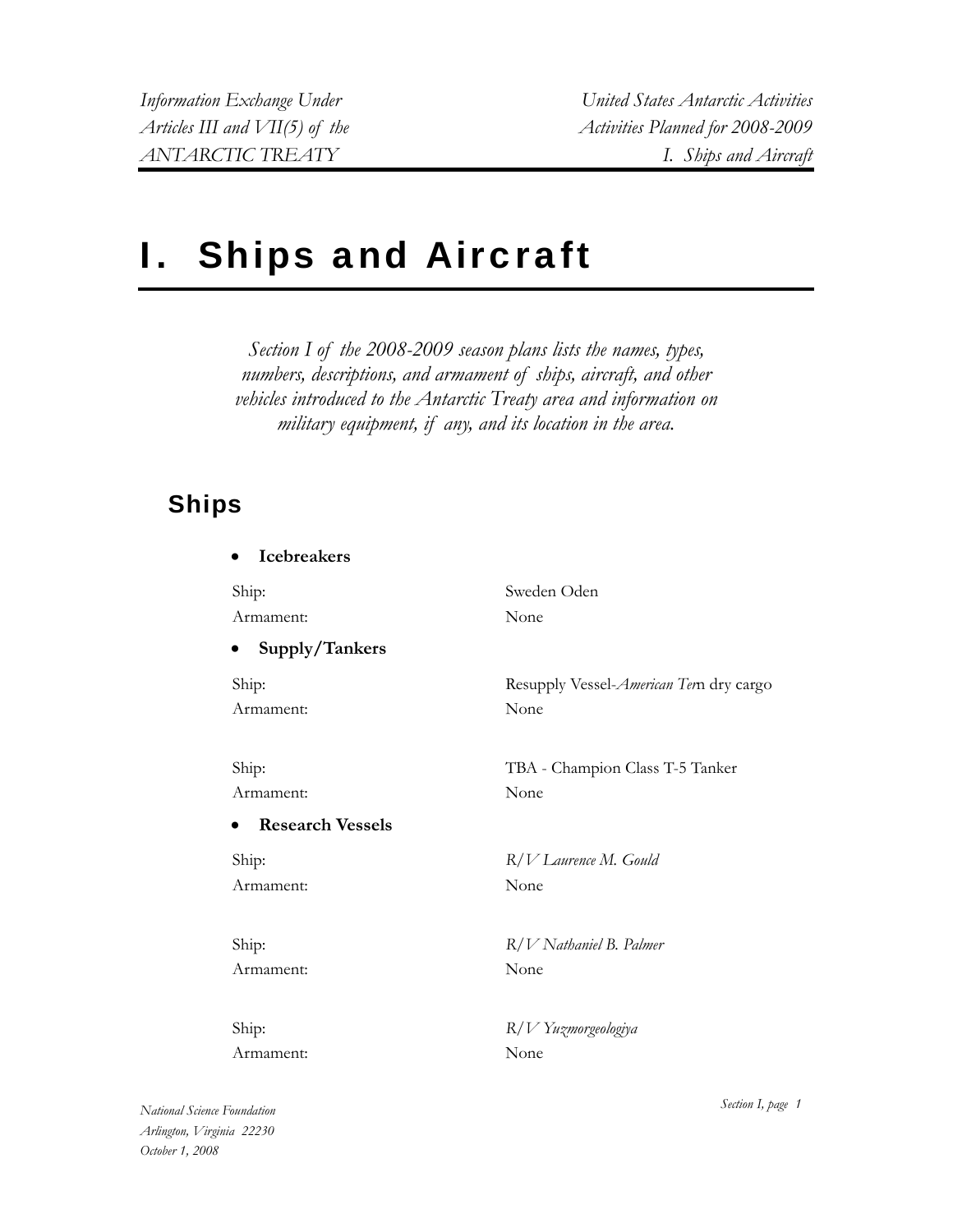*Information Exchange Under United States Antarctic Activities Articles III and VII(5) of the Activities Planned for 2008-2009 ANTARCTIC TREATY I. Ships and Aircraft* 

# I. Ships and Aircraft

*Section I of the 2008-2009 season plans lists the names, types, numbers, descriptions, and armament of ships, aircraft, and other vehicles introduced to the Antarctic Treaty area and information on military equipment, if any, and its location in the area.* 

## **Ships**

| <b>Icebreakers</b>          |                                         |
|-----------------------------|-----------------------------------------|
| Ship:                       | Sweden Oden                             |
| Armament:                   | None                                    |
| Supply/Tankers<br>$\bullet$ |                                         |
| Ship:                       | Resupply Vessel-American Tern dry cargo |
| Armament:                   | None                                    |
|                             |                                         |
| Ship:                       | TBA - Champion Class T-5 Tanker         |
| Armament:                   | None                                    |
| <b>Research Vessels</b>     |                                         |
| Ship:                       | R/V Laurence M. Gould                   |
| Armament:                   | None                                    |
|                             |                                         |
| Ship:                       | $R/V$ Nathaniel B. Palmer               |
| Armament:                   | None                                    |
|                             |                                         |
| Ship:                       | R/V Yuzmorgeologiya                     |
| Armament:                   | None                                    |
|                             |                                         |

*National Science Foundation Arlington, Virginia 22230 October 1, 2008* 

*Section I, page 1*